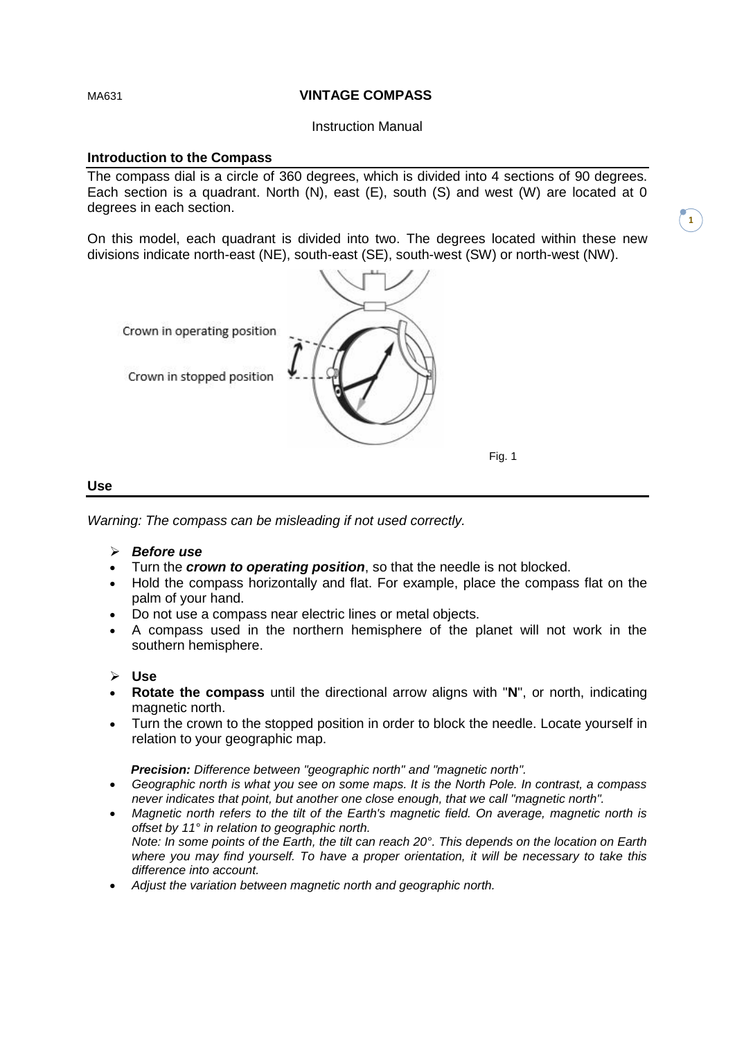#### MA631 **VINTAGE COMPASS**

Instruction Manual

## **Introduction to the Compass**

The compass dial is a circle of 360 degrees, which is divided into 4 sections of 90 degrees. Each section is a quadrant. North (N), east (E), south (S) and west (W) are located at 0 degrees in each section.

On this model, each quadrant is divided into two. The degrees located within these new divisions indicate north-east (NE), south-east (SE), south-west (SW) or north-west (NW).

**1**



#### **Use**

*Warning: The compass can be misleading if not used correctly.*

- *Before use*
- Turn the *crown to operating position*, so that the needle is not blocked.
- Hold the compass horizontally and flat. For example, place the compass flat on the palm of your hand.
- Do not use a compass near electric lines or metal objects.
- A compass used in the northern hemisphere of the planet will not work in the southern hemisphere.
- **Use**
- **Rotate the compass** until the directional arrow aligns with "**N**", or north, indicating magnetic north.
- Turn the crown to the stopped position in order to block the needle. Locate yourself in relation to your geographic map.

*Precision: Difference between "geographic north" and "magnetic north".*

- *Geographic north is what you see on some maps. It is the North Pole. In contrast, a compass never indicates that point, but another one close enough, that we call "magnetic north".*
- *Magnetic north refers to the tilt of the Earth's magnetic field. On average, magnetic north is offset by 11° in relation to geographic north. Note: In some points of the Earth, the tilt can reach 20°. This depends on the location on Earth where you may find yourself. To have a proper orientation, it will be necessary to take this difference into account.*
- *Adjust the variation between magnetic north and geographic north.*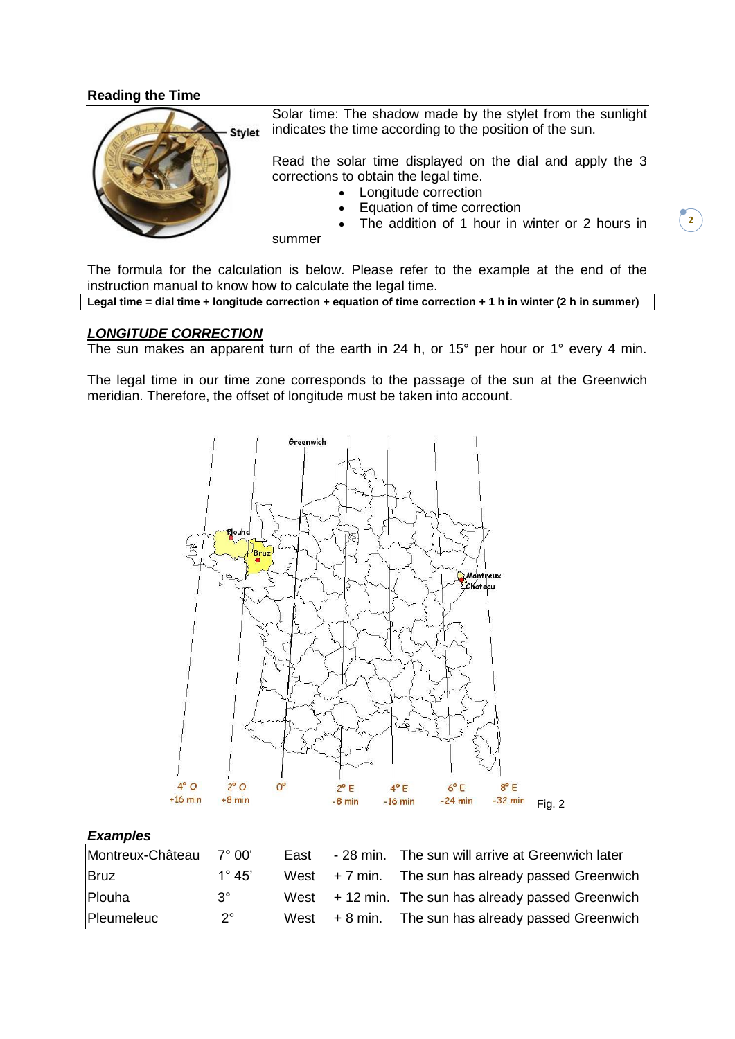## **Reading the Time**



Solar time: The shadow made by the stylet from the sunlight indicates the time according to the position of the sun.

Read the solar time displayed on the dial and apply the 3 corrections to obtain the legal time.

- Longitude correction
- Equation of time correction

The addition of 1 hour in winter or 2 hours in

summer

The formula for the calculation is below. Please refer to the example at the end of the instruction manual to know how to calculate the legal time.

```
Legal time = dial time + longitude correction + equation of time correction + 1 h in winter (2 h in summer)
```
### *LONGITUDE CORRECTION*

The sun makes an apparent turn of the earth in 24 h, or 15° per hour or 1° every 4 min.

The legal time in our time zone corresponds to the passage of the sun at the Greenwich meridian. Therefore, the offset of longitude must be taken into account.



#### *Examples*

| Montreux-Château | 7° 00'          | Fast | - 28 min. The sun will arrive at Greenwich later     |
|------------------|-----------------|------|------------------------------------------------------|
| <b>Bruz</b>      | $1^{\circ} 45'$ |      | West $+7$ min. The sun has already passed Greenwich  |
| Plouha           | $3^\circ$       |      | West $+12$ min. The sun has already passed Greenwich |
| Pleumeleuc       | $2^{\circ}$     |      | West $+8$ min. The sun has already passed Greenwich  |

 $\overline{2}$